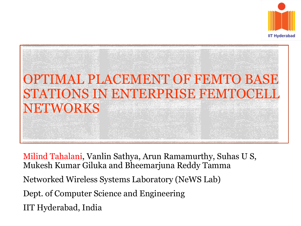



Milind Tahalani, Vanlin Sathya, Arun Ramamurthy, Suhas U S, Mukesh Kumar Giluka and Bheemarjuna Reddy Tamma Networked Wireless Systems Laboratory (NeWS Lab) Dept. of Computer Science and Engineering IIT Hyderabad, India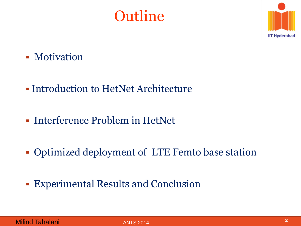# **Outline**



- **Motivation**
- Introduction to HetNet Architecture
- Interference Problem in HetNet
- Optimized deployment of LTE Femto base station
- Experimental Results and Conclusion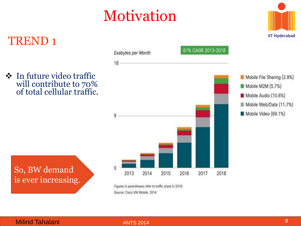# Motivation





Figures in parentheses refer to traffic share in 2018. Source: Cisco VNI Mobile, 2014

#### **Milind Tahalani 3 3**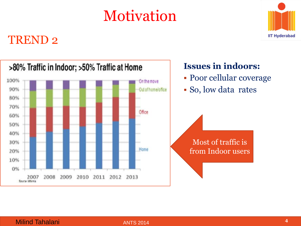# Motivation



#### TREND 2

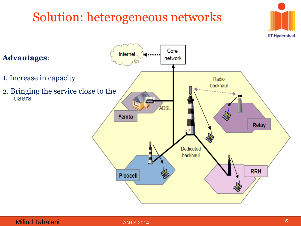# Solution: heterogeneous networks



#### **Milind Tahalani 5 5**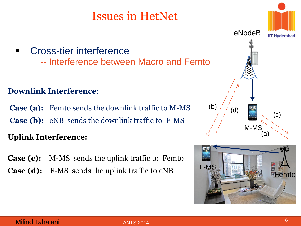### Issues in HetNet

**Cross-tier interference** -- Interference between Macro and Femto

#### **Downlink Interference**:

 **Case (a):** Femto sends the downlink traffic to M-MS **Case (b):** eNB sends the downlink traffic to F-MS

#### **Uplink Interference: Uplink**:

**Case (c):** M-MS sends the uplink traffic to Femto **Case (d):** F-MS sends the uplink traffic to eNB



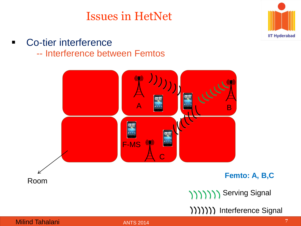### Issues in HetNet



**Co-tier interference** -- Interference between Femtos

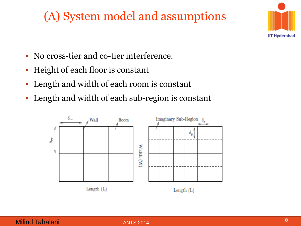## (A) System model and assumptions



- No cross-tier and co-tier interference.
- Height of each floor is constant
- Length and width of each room is constant
- Length and width of each sub-region is constant

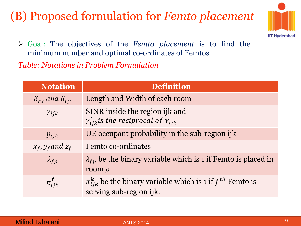## (B) Proposed formulation for *Femto placement*



 Goal: The objectives of the *Femto placement* is to find the minimum number and optimal co-ordinates of Femtos *Table: Notations in Problem Formulation*

| <b>Notation</b>                 | <b>Definition</b>                                                                               |
|---------------------------------|-------------------------------------------------------------------------------------------------|
| $\delta_{rx}$ and $\delta_{ry}$ | Length and Width of each room                                                                   |
| $Y_{ijk}$                       | SINR inside the region ijk and<br>$\gamma'_{ijk}$ is the reciprocal of $\gamma_{iik}$           |
| $p_{ijk}$                       | UE occupant probability in the sub-region ijk                                                   |
| $x_f$ , $y_f$ and $z_f$         | Femto co-ordinates                                                                              |
| $\lambda_{fp}$                  | $\lambda_{fp}$ be the binary variable which is 1 if Femto is placed in<br>room $\rho$           |
| $\pi_{iik}^J$                   | $\pi_{ijk}^k$ be the binary variable which is 1 if $f^{th}$ Femto is<br>serving sub-region ijk. |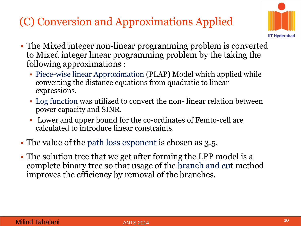## (C) Conversion and Approximations Applied



- The Mixed integer non-linear programming problem is converted to Mixed integer linear programming problem by the taking the following approximations :
	- Piece-wise linear Approximation (PLAP) Model which applied while converting the distance equations from quadratic to linear expressions.
	- Log function was utilized to convert the non- linear relation between power capacity and SINR.
	- Lower and upper bound for the co-ordinates of Femto-cell are calculated to introduce linear constraints.
- The value of the path loss exponent is chosen as 3.5.
- The solution tree that we get after forming the LPP model is a complete binary tree so that usage of the branch and cut method improves the efficiency by removal of the branches.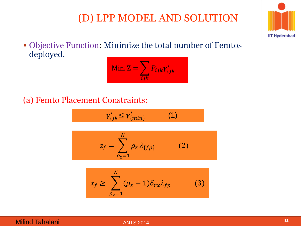#### (D) LPP MODEL AND SOLUTION



 Objective Function: Minimize the total number of Femtos deployed.

#### Min.  $Z = \sum P_{ijk} \gamma'_{ijk}$  $\boldsymbol{i}$ jk

#### (a) Femto Placement Constraints:

$$
\gamma'_{ijk} \leq \gamma'_{\{min\}} \tag{1}
$$

$$
z_f = \sum_{\rho_Z=1}^N \rho_Z \lambda_{\{f\rho\}} \tag{2}
$$

$$
x_f \ge \sum_{\rho_x=1}^N (\rho_x - 1) \delta_{rx} \lambda_{fp} \tag{3}
$$

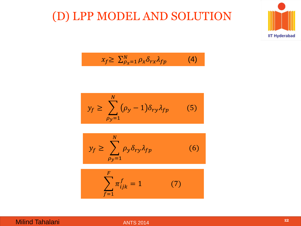#### (D) LPP MODEL AND SOLUTION



$$
x_f \ge \sum_{\rho_X=1}^N \rho_X \delta_{rx} \lambda_{fp} \tag{4}
$$

$$
y_f \ge \sum_{\rho_y=1}^N (\rho_y - 1) \delta_{ry} \lambda_{fp} \qquad (5)
$$

$$
y_f \ge \sum_{\rho_y=1}^N \rho_y \delta_{ry} \lambda_{fp} \tag{6}
$$

$$
\sum_{f=1}^{F} \pi_{ijk}^{f} = 1 \tag{7}
$$

#### Milind Tahalani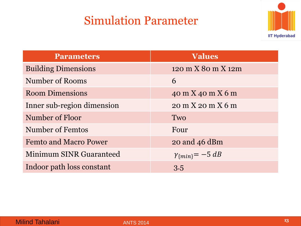### Simulation Parameter



| <b>Parameters</b>              | <b>Values</b>              |  |
|--------------------------------|----------------------------|--|
| <b>Building Dimensions</b>     | 120 m X 80 m X 12m         |  |
| <b>Number of Rooms</b>         | 6                          |  |
| <b>Room Dimensions</b>         | 40 m X 40 m X 6 m          |  |
| Inner sub-region dimension     | 20 m X 20 m X 6 m          |  |
| Number of Floor                | Two                        |  |
| Number of Femtos               | Four                       |  |
| <b>Femto and Macro Power</b>   | $20$ and $46$ dBm          |  |
| <b>Minimum SINR Guaranteed</b> | $\gamma_{\{min\}} = -5 dB$ |  |
| Indoor path loss constant      | 3.5                        |  |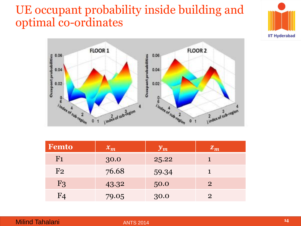#### UE occupant probability inside building and optimal co-ordinates





| Femto          | $ x_m $ | $y_m$ | $ \bm{Z}_{\bm{m}} $ |
|----------------|---------|-------|---------------------|
| F <sub>1</sub> | 30.0    | 25.22 |                     |
| F <sub>2</sub> | 76.68   | 59.34 |                     |
| F <sub>3</sub> | 43.32   | 50.0  | $\overline{2}$      |
| F4             | 79.05   | 30.0  | $\mathcal{P}$       |

#### Milind Tahalani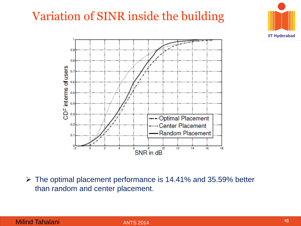## Variation of SINR inside the building



 The optimal placement performance is 14.41% and 35.59% better than random and center placement.



**IIT Hyderabad**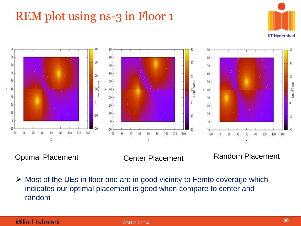## REM plot using ns-3 in Floor 1





Optimal Placement Center Placement Random Placement

 $\triangleright$  Most of the UEs in floor one are in good vicinity to Femto coverage which indicates our optimal placement is good when compare to center and random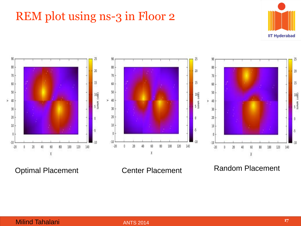## REM plot using ns-3 in Floor 2





Optimal Placement Center Placement Random Placement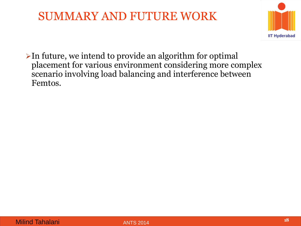#### SUMMARY AND FUTURE WORK



 $\triangleright$  In future, we intend to provide an algorithm for optimal placement for various environment considering more complex scenario involving load balancing and interference between Femtos.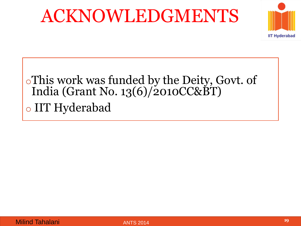# ACKNOWLEDGMENTS



# oThis work was funded by the Deity, Govt. of India (Grant No. 13(6)/2010CC&BT) o IIT Hyderabad